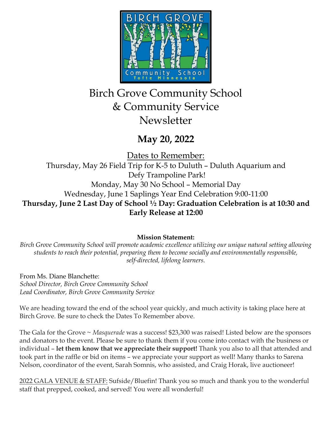

# Birch Grove Community School & Community Service Newsletter

## **May 20, 2022**

Dates to Remember:

Thursday, May 26 Field Trip for K-5 to Duluth – Duluth Aquarium and Defy Trampoline Park! Monday, May 30 No School – Memorial Day Wednesday, June 1 Saplings Year End Celebration 9:00-11:00 **Thursday, June 2 Last Day of School ½ Day: Graduation Celebration is at 10:30 and Early Release at 12:00**

## **Mission Statement:**

*Birch Grove Community School will promote academic excellence utilizing our unique natural setting allowing students to reach their potential, preparing them to become socially and environmentally responsible, self-directed, lifelong learners.*

From Ms. Diane Blanchette: *School Director, Birch Grove Community School Lead Coordinator, Birch Grove Community Service*

We are heading toward the end of the school year quickly, and much activity is taking place here at Birch Grove. Be sure to check the Dates To Remember above.

The Gala for the Grove ~ *Masquerade* was a success! \$23,300 was raised! Listed below are the sponsors and donators to the event. Please be sure to thank them if you come into contact with the business or individual – **let them know that we appreciate their support!** Thank you also to all that attended and took part in the raffle or bid on items – we appreciate your support as well! Many thanks to Sarena Nelson, coordinator of the event, Sarah Somnis, who assisted, and Craig Horak, live auctioneer!

2022 GALA VENUE & STAFF: Sufside/Bluefin! Thank you so much and thank you to the wonderful staff that prepped, cooked, and served! You were all wonderful!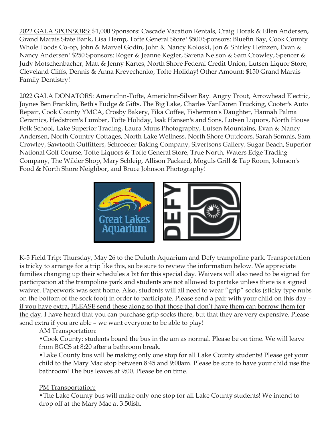2022 GALA SPONSORS: \$1,000 Sponsors: Cascade Vacation Rentals, Craig Horak & Ellen Andersen, Grand Marais State Bank, Lisa Hemp, Tofte General Store! \$500 Sponsors: Bluefin Bay, Cook County Whole Foods Co-op, John & Marvel Godin, John & Nancy Koloski, Jon & Shirley Heinzen, Evan & Nancy Andersen! \$250 Sponsors: Roger & Jeanne Kegler, Sarena Nelson & Sam Crowley, Spencer & Judy Motschenbacher, Matt & Jenny Kartes, North Shore Federal Credit Union, Lutsen Liquor Store, Cleveland Cliffs, Dennis & Anna Krevechenko, Tofte Holiday! Other Amount: \$150 Grand Marais Family Dentistry!

2022 GALA DONATORS: AmericInn-Tofte, AmericInn-Silver Bay. Angry Trout, Arrowhead Electric, Joynes Ben Franklin, Beth's Fudge & Gifts, The Big Lake, Charles VanDoren Trucking, Cooter's Auto Repair, Cook County YMCA, Crosby Bakery, Fika Coffee, Fisherman's Daughter, Hannah Palma Ceramics, Hedstrom's Lumber, Tofte Holiday, Isak Hansen's and Sons, Lutsen Liquors, North House Folk School, Lake Superior Trading, Laura Muus Photography, Lutsen Mountains, Evan & Nancy Andersen, North Country Cottages, North Lake Wellness, North Shore Outdoors, Sarah Somnis, Sam Crowley, Sawtooth Outfitters, Schroeder Baking Company, Sivertsons Gallery, Sugar Beach, Superior National Golf Course, Tofte Liquors & Tofte General Store, True North, Waters Edge Trading Company, The Wilder Shop, Mary Schleip, Allison Packard, Moguls Grill & Tap Room, Johnson's Food & North Shore Neighbor, and Bruce Johnson Photography!



K-5 Field Trip: Thursday, May 26 to the Duluth Aquarium and Defy trampoline park. Transportation is tricky to arrange for a trip like this, so be sure to review the information below. We appreciate families changing up their schedules a bit for this special day. Waivers will also need to be signed for participation at the trampoline park and students are not allowed to partake unless there is a signed waiver. Paperwork was sent home. Also, students will all need to wear "grip" socks (sticky type nubs on the bottom of the sock foot) in order to participate. Please send a pair with your child on this day – if you have extra, PLEASE send these along so that those that don't have them can borrow them for the day. I have heard that you can purchase grip socks there, but that they are very expensive. Please send extra if you are able – we want everyone to be able to play!

#### AM Transportation:

•Cook County: students board the bus in the am as normal. Please be on time. We will leave from BGCS at 8:20 after a bathroom break.

•Lake County bus will be making only one stop for all Lake County students! Please get your child to the Mary Mac stop between 8:45 and 9:00am. Please be sure to have your child use the bathroom! The bus leaves at 9:00. Please be on time.

#### PM Transportation:

•The Lake County bus will make only one stop for all Lake County students! We intend to drop off at the Mary Mac at 3:50ish.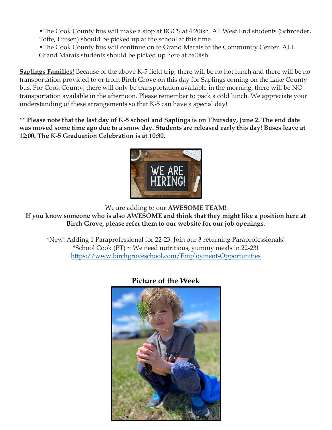•The Cook County bus will make a stop at BGCS at 4:20ish. All West End students (Schroeder, Tofte, Lutsen) should be picked up at the school at this time.

•The Cook County bus will continue on to Grand Marais to the Community Center. ALL Grand Marais students should be picked up here at 5:00ish.

**Saplings Families!** Because of the above K-5 field trip, there will be no hot lunch and there will be no transportation provided to or from Birch Grove on this day for Saplings coming on the Lake County bus. For Cook County, there will only be transportation available in the morning, there will be NO transportation available in the afternoon. Please remember to pack a cold lunch. We appreciate your understanding of these arrangements so that K-5 can have a special day!

**\*\* Please note that the last day of K-5 school and Saplings is on Thursday, June 2. The end date was moved some time ago due to a snow day. Students are released early this day! Buses leave at 12:00. The K-5 Graduation Celebration is at 10:30.**



We are adding to our **AWESOME TEAM!**

**If you know someone who is also AWESOME and think that they might like a position here at Birch Grove, please refer them to our website for our job openings.**

\*New! Adding 1 Paraprofessional for 22-23. Join our 3 returning Paraprofessionals! \*School Cook  $(PT)$  ~ We need nutritious, yummy meals in 22-23! <https://www.birchgroveschool.com/Employment-Opportunities>

**Picture of the Week**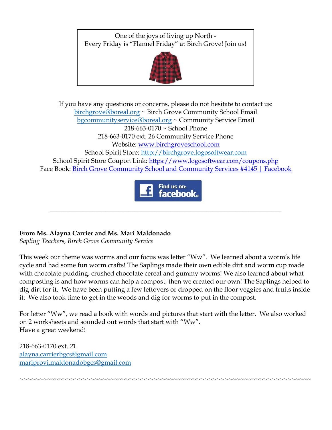One of the joys of living up North - Every Friday is "Flannel Friday" at Birch Grove! Join us!



If you have any questions or concerns, please do not hesitate to contact us: [birchgrove@boreal.org](mailto:birchgrove@boreal.org) ~ Birch Grove Community School Email [bgcommunityservice@boreal.org](mailto:bgcommunityservice@boreal.org) ~ Community Service Email 218-663-0170 ~ School Phone 218-663-0170 ext. 26 Community Service Phone Website: [www.birchgroveschool.com](http://www.birchgroveschool.com/) School Spirit Store: [http://birchgrove.logosoftwear.com](http://birchgrove.logosoftwear.com/) School Spirit Store Coupon Link: [https://www.logosoftwear.com/coupons.php](https://l.facebook.com/l.php?u=https%3A%2F%2Fwww.logosoftwear.com%2Fcoupons.php%3Ffbclid%3DIwAR2Xqd17qslymSELe8_VeVgOevR-QsZi3Qz3QuYTsWuNO2GLWjqyiQ62ICs&h=AT2z_Mc6YstEexFQ0i5rW-HO4fVUjQWMG_mHzx48fuw3yADOJuSHwXhN9MQfmKFDZxVhPbfBgLy6FDYrV0SZiN-UApxljZJM83a99ykkj6B8CMjcjkNw3W_Q7esHr8EHSDY6&__tn__=-UK-R&c%5b0%5d=AT3hJTZO-D9y88WW55bnY7TKagKxE33cxX646tzqglmwc95PJrJ3IYR9biVvFaLzk80QBN6o7R5n96uR3pNcGUR2nS6jY3yHy4SJEISdB3KoMVhV6OckeZsezEKQYZjMowKojD5TLi5DzP_AyBUXCERIZcNHwoDXS9DzEjlTMuD3pg) Face Book: [Birch Grove Community School and Community Services #4145 | Facebook](https://www.facebook.com/birchgrovecommunityschool/)



\_\_\_\_\_\_\_\_\_\_\_\_\_\_\_\_\_\_\_\_\_\_\_\_\_\_\_\_\_\_\_\_\_\_\_\_\_\_\_\_\_\_\_\_\_\_\_\_\_\_\_\_\_\_\_\_\_\_\_\_\_\_\_\_\_\_\_\_\_\_\_

### **From Ms. Alayna Carrier and Ms. Mari Maldonado**

*Sapling Teachers, Birch Grove Community Service* 

This week our theme was worms and our focus was letter "Ww". We learned about a worm's life cycle and had some fun worm crafts! The Saplings made their own edible dirt and worm cup made with chocolate pudding, crushed chocolate cereal and gummy worms! We also learned about what composting is and how worms can help a compost, then we created our own! The Saplings helped to dig dirt for it. We have been putting a few leftovers or dropped on the floor veggies and fruits inside it. We also took time to get in the woods and dig for worms to put in the compost.

For letter "Ww", we read a book with words and pictures that start with the letter. We also worked on 2 worksheets and sounded out words that start with "Ww". Have a great weekend!

~~~~~~~~~~~~~~~~~~~~~~~~~~~~~~~~~~~~~~~~~~~~~~~~~~~~~~~~~~~~~~~~~~~~~~~~~~

218-663-0170 ext. 21 [alayna.carrierbgcs@gmail.com](mailto:alayna.carrierbgcs@gmail.com) [mariprovi.maldonadobgcs@gmail.com](mailto:mariprovi.maldonadobgcs@gmail.com)